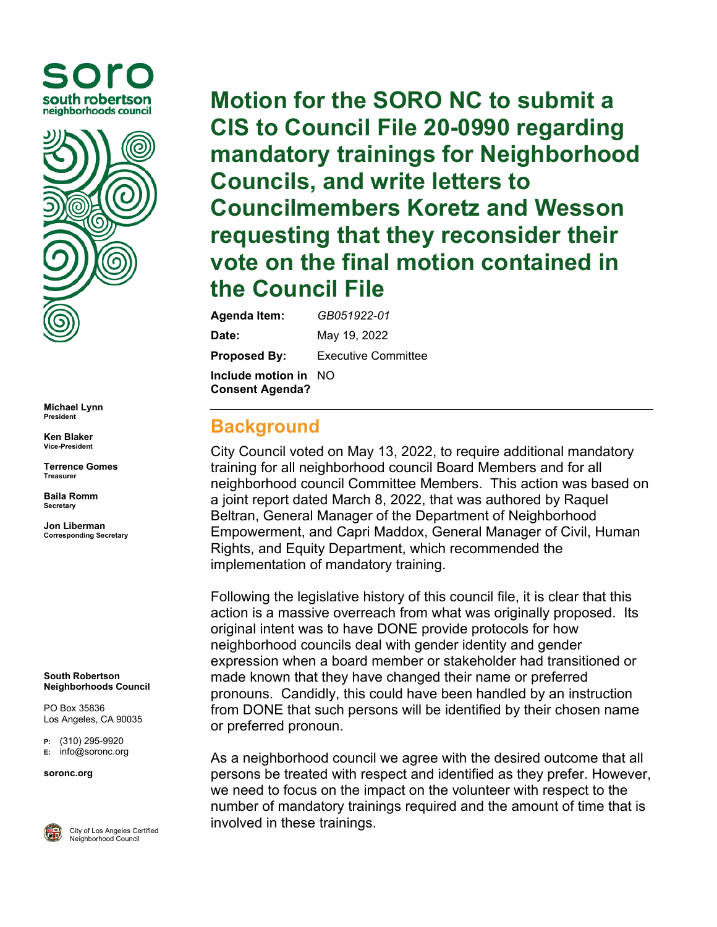



**Michael Lynn President**

**Ken Blaker Vice-President**

**Terrence Gomes Treasurer**

**Baila Romm Secretary**

**Jon Liberman Corresponding Secretary**

**South Robertson Neighborhoods Council**

PO Box 35836 Los Angeles, CA 90035

**P:** (310) 295-9920 **E:** [info@soronc.org](mailto:info@soronc.org)

**soronc.org**



City of Los Angeles Certified Neighborhood Council

**Motion for the SORO NC to submit a CIS to Council File 20-0990 regarding mandatory trainings for Neighborhood Councils, and write letters to Councilmembers Koretz and Wesson requesting that they reconsider their vote on the final motion contained in the Council File**

**Agenda Item:** *GB051922-01* **Date:** May 19, 2022 **Proposed By:** Executive Committee **Include motion in**  NO**Consent Agenda?**

## **Background**

City Council voted on May 13, 2022, to require additional mandatory training for all neighborhood council Board Members and for all neighborhood council Committee Members. This action was based on a joint report dated March 8, 2022, that was authored by Raquel Beltran, General Manager of the Department of Neighborhood Empowerment, and Capri Maddox, General Manager of Civil, Human Rights, and Equity Department, which recommended the implementation of mandatory training.

Following the legislative history of this council file, it is clear that this action is a massive overreach from what was originally proposed. Its original intent was to have DONE provide protocols for how neighborhood councils deal with gender identity and gender expression when a board member or stakeholder had transitioned or made known that they have changed their name or preferred pronouns. Candidly, this could have been handled by an instruction from DONE that such persons will be identified by their chosen name or preferred pronoun.

As a neighborhood council we agree with the desired outcome that all persons be treated with respect and identified as they prefer. However, we need to focus on the impact on the volunteer with respect to the number of mandatory trainings required and the amount of time that is involved in these trainings.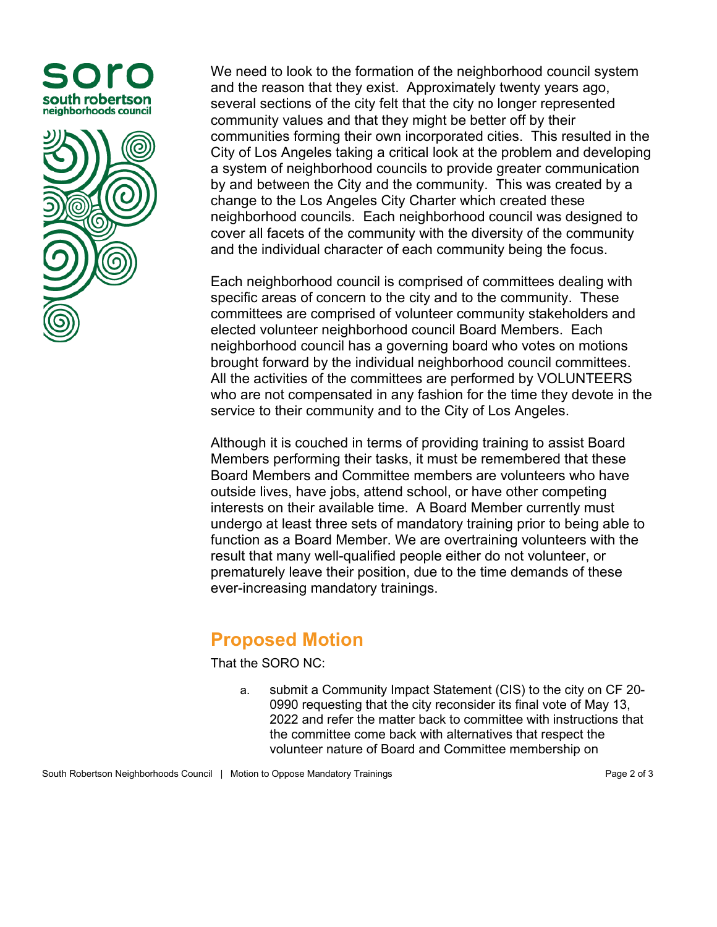



We need to look to the formation of the neighborhood council system and the reason that they exist. Approximately twenty years ago, several sections of the city felt that the city no longer represented community values and that they might be better off by their communities forming their own incorporated cities. This resulted in the City of Los Angeles taking a critical look at the problem and developing a system of neighborhood councils to provide greater communication by and between the City and the community. This was created by a change to the Los Angeles City Charter which created these neighborhood councils. Each neighborhood council was designed to cover all facets of the community with the diversity of the community and the individual character of each community being the focus.

Each neighborhood council is comprised of committees dealing with specific areas of concern to the city and to the community. These committees are comprised of volunteer community stakeholders and elected volunteer neighborhood council Board Members. Each neighborhood council has a governing board who votes on motions brought forward by the individual neighborhood council committees. All the activities of the committees are performed by VOLUNTEERS who are not compensated in any fashion for the time they devote in the service to their community and to the City of Los Angeles.

Although it is couched in terms of providing training to assist Board Members performing their tasks, it must be remembered that these Board Members and Committee members are volunteers who have outside lives, have jobs, attend school, or have other competing interests on their available time. A Board Member currently must undergo at least three sets of mandatory training prior to being able to function as a Board Member. We are overtraining volunteers with the result that many well-qualified people either do not volunteer, or prematurely leave their position, due to the time demands of these ever-increasing mandatory trainings.

## **Proposed Motion**

That the SORO NC:

a. submit a Community Impact Statement (CIS) to the city on CF 20- 0990 requesting that the city reconsider its final vote of May 13, 2022 and refer the matter back to committee with instructions that the committee come back with alternatives that respect the volunteer nature of Board and Committee membership on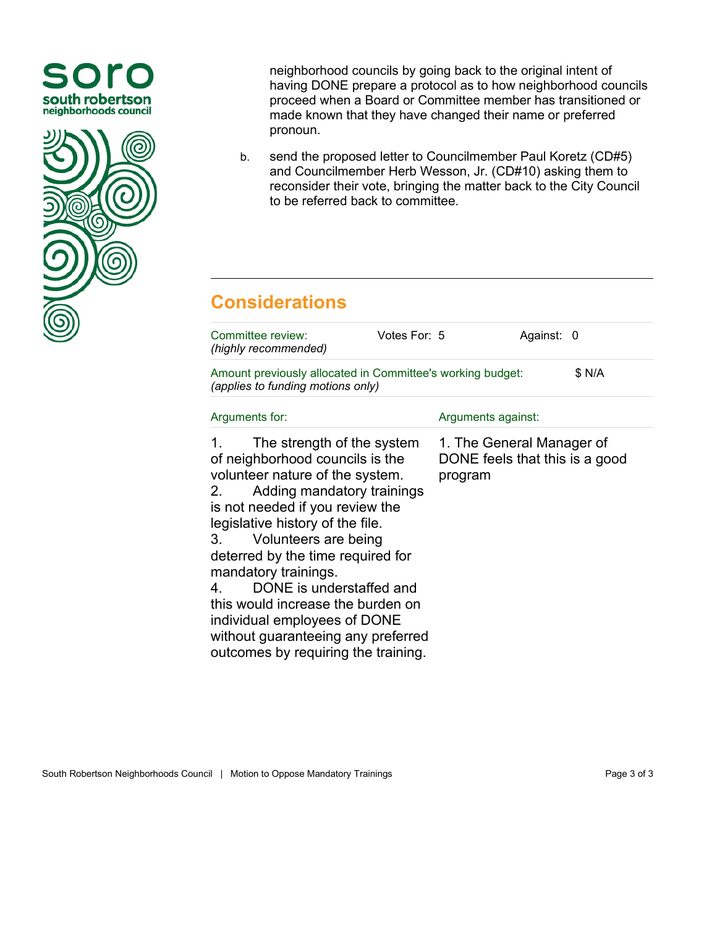



neighborhood councils by going back to the original intent of having DONE prepare a protocol as to how neighborhood councils proceed when a Board or Committee member has transitioned or made known that they have changed their name or preferred pronoun.

b. send the proposed letter to Councilmember Paul Koretz (CD#5) and Councilmember Herb Wesson, Jr. (CD#10) asking them to reconsider their vote, bringing the matter back to the City Council to be referred back to committee.

## **Considerations**

| Committee review:<br>(highly recommended)                                                                                                                                                                                                                                                                                                                                                                                                                                                        | Votes For: 5 |                                                                        | Against: 0 |  |
|--------------------------------------------------------------------------------------------------------------------------------------------------------------------------------------------------------------------------------------------------------------------------------------------------------------------------------------------------------------------------------------------------------------------------------------------------------------------------------------------------|--------------|------------------------------------------------------------------------|------------|--|
| Amount previously allocated in Committee's working budget:<br>\$ N/A<br>(applies to funding motions only)                                                                                                                                                                                                                                                                                                                                                                                        |              |                                                                        |            |  |
| Arguments for:                                                                                                                                                                                                                                                                                                                                                                                                                                                                                   |              | Arguments against:                                                     |            |  |
| The strength of the system<br>1.<br>of neighborhood councils is the<br>volunteer nature of the system.<br>Adding mandatory trainings<br>2.<br>is not needed if you review the<br>legislative history of the file.<br>Volunteers are being<br>3.<br>deterred by the time required for<br>mandatory trainings.<br>DONE is understaffed and<br>4.<br>this would increase the burden on<br>individual employees of DONE<br>without guaranteeing any preferred<br>outcomes by requiring the training. |              | 1. The General Manager of<br>DONE feels that this is a good<br>program |            |  |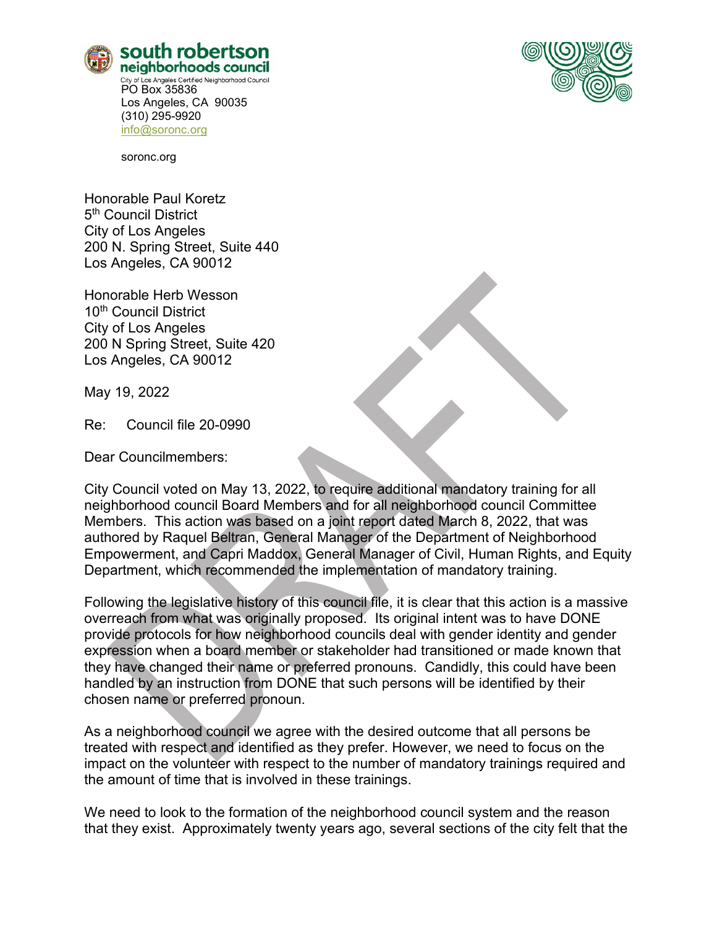



soronc.org

Honorable Paul Koretz 5<sup>th</sup> Council District City of Los Angeles 200 N. Spring Street, Suite 440 Los Angeles, CA 90012

Honorable Herb Wesson 10<sup>th</sup> Council District City of Los Angeles 200 N Spring Street, Suite 420 Los Angeles, CA 90012

May 19, 2022

Re: Council file 20-0990

Dear Councilmembers:

City Council voted on May 13, 2022, to require additional mandatory training for all neighborhood council Board Members and for all neighborhood council Committee Members. This action was based on a joint report dated March 8, 2022, that was authored by Raquel Beltran, General Manager of the Department of Neighborhood Empowerment, and Capri Maddox, General Manager of Civil, Human Rights, and Equity Department, which recommended the implementation of mandatory training.

Following the legislative history of this council file, it is clear that this action is a massive overreach from what was originally proposed. Its original intent was to have DONE provide protocols for how neighborhood councils deal with gender identity and gender expression when a board member or stakeholder had transitioned or made known that they have changed their name or preferred pronouns. Candidly, this could have been handled by an instruction from DONE that such persons will be identified by their chosen name or preferred pronoun.

As a neighborhood council we agree with the desired outcome that all persons be treated with respect and identified as they prefer. However, we need to focus on the impact on the volunteer with respect to the number of mandatory trainings required and the amount of time that is involved in these trainings.

We need to look to the formation of the neighborhood council system and the reason that they exist. Approximately twenty years ago, several sections of the city felt that the